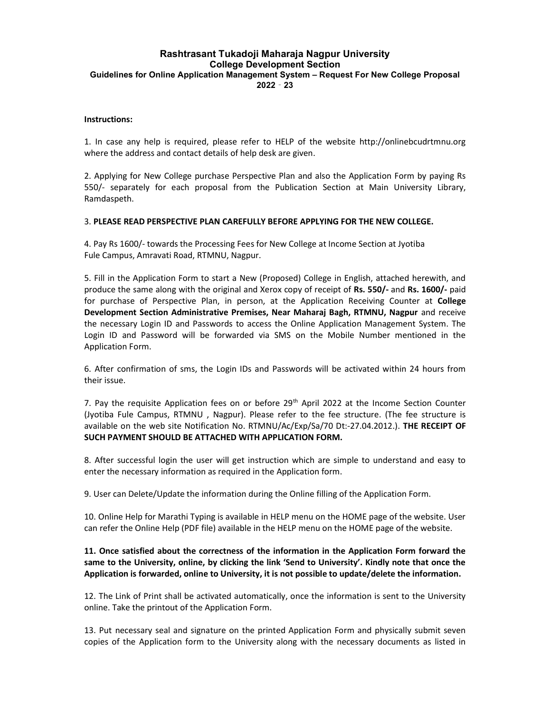# Rashtrasant Tukadoji Maharaja Nagpur University College Development Section Guidelines for Online Application Management System – Request For New College Proposal 2022‐23

#### Instructions:

1. In case any help is required, please refer to HELP of the website http://onlinebcudrtmnu.org where the address and contact details of help desk are given.

2. Applying for New College purchase Perspective Plan and also the Application Form by paying Rs 550/- separately for each proposal from the Publication Section at Main University Library, Ramdaspeth.

#### 3. PLEASE READ PERSPECTIVE PLAN CAREFULLY BEFORE APPLYING FOR THE NEW COLLEGE.

4. Pay Rs 1600/- towards the Processing Fees for New College at Income Section at Jyotiba Fule Campus, Amravati Road, RTMNU, Nagpur.

5. Fill in the Application Form to start a New (Proposed) College in English, attached herewith, and produce the same along with the original and Xerox copy of receipt of Rs. 550/- and Rs. 1600/- paid for purchase of Perspective Plan, in person, at the Application Receiving Counter at College Development Section Administrative Premises, Near Maharaj Bagh, RTMNU, Nagpur and receive the necessary Login ID and Passwords to access the Online Application Management System. The Login ID and Password will be forwarded via SMS on the Mobile Number mentioned in the Application Form.

6. After confirmation of sms, the Login IDs and Passwords will be activated within 24 hours from their issue.

7. Pay the requisite Application fees on or before  $29<sup>th</sup>$  April 2022 at the Income Section Counter (Jyotiba Fule Campus, RTMNU , Nagpur). Please refer to the fee structure. (The fee structure is available on the web site Notification No. RTMNU/Ac/Exp/Sa/70 Dt:-27.04.2012.). THE RECEIPT OF SUCH PAYMENT SHOULD BE ATTACHED WITH APPLICATION FORM.

8. After successful login the user will get instruction which are simple to understand and easy to enter the necessary information as required in the Application form.

9. User can Delete/Update the information during the Online filling of the Application Form.

10. Online Help for Marathi Typing is available in HELP menu on the HOME page of the website. User can refer the Online Help (PDF file) available in the HELP menu on the HOME page of the website.

## 11. Once satisfied about the correctness of the information in the Application Form forward the same to the University, online, by clicking the link 'Send to University'. Kindly note that once the Application is forwarded, online to University, it is not possible to update/delete the information.

12. The Link of Print shall be activated automatically, once the information is sent to the University online. Take the printout of the Application Form.

13. Put necessary seal and signature on the printed Application Form and physically submit seven copies of the Application form to the University along with the necessary documents as listed in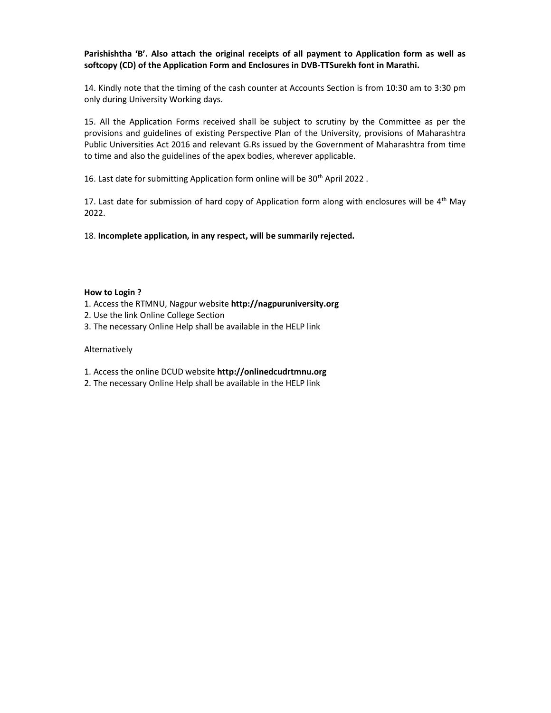## Parishishtha 'B'. Also attach the original receipts of all payment to Application form as well as softcopy (CD) of the Application Form and Enclosures in DVB-TTSurekh font in Marathi.

14. Kindly note that the timing of the cash counter at Accounts Section is from 10:30 am to 3:30 pm only during University Working days.

15. All the Application Forms received shall be subject to scrutiny by the Committee as per the provisions and guidelines of existing Perspective Plan of the University, provisions of Maharashtra Public Universities Act 2016 and relevant G.Rs issued by the Government of Maharashtra from time to time and also the guidelines of the apex bodies, wherever applicable.

16. Last date for submitting Application form online will be 30<sup>th</sup> April 2022.

17. Last date for submission of hard copy of Application form along with enclosures will be  $4<sup>th</sup>$  May 2022.

18. Incomplete application, in any respect, will be summarily rejected.

#### How to Login ?

- 1. Access the RTMNU, Nagpur website http://nagpuruniversity.org
- 2. Use the link Online College Section
- 3. The necessary Online Help shall be available in the HELP link

#### Alternatively

- 1. Access the online DCUD website http://onlinedcudrtmnu.org
- 2. The necessary Online Help shall be available in the HELP link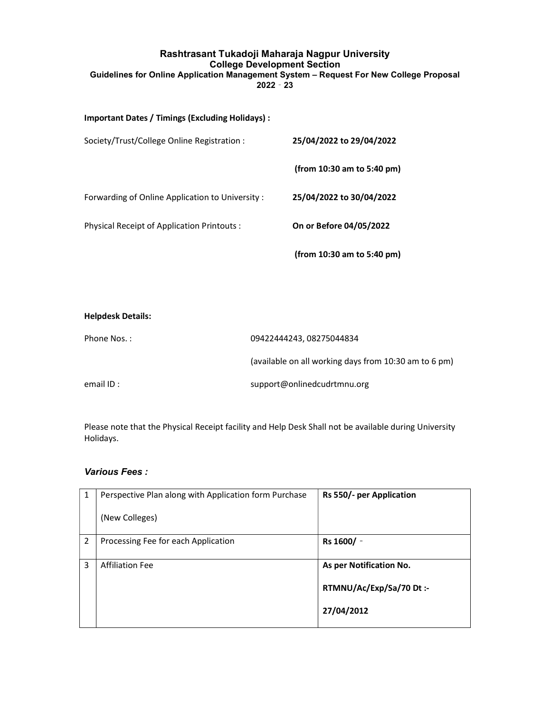# Rashtrasant Tukadoji Maharaja Nagpur University College Development Section Guidelines for Online Application Management System – Request For New College Proposal  $2022 - 23$

## Important Dates / Timings (Excluding Holidays) :

| Society/Trust/College Online Registration :     | 25/04/2022 to 29/04/2022   |
|-------------------------------------------------|----------------------------|
|                                                 | (from 10:30 am to 5:40 pm) |
| Forwarding of Online Application to University: | 25/04/2022 to 30/04/2022   |
| Physical Receipt of Application Printouts :     | On or Before 04/05/2022    |
|                                                 | (from 10:30 am to 5:40 pm) |

| <b>Helpdesk Details:</b> |                                                       |
|--------------------------|-------------------------------------------------------|
| Phone Nos.:              | 09422444243, 08275044834                              |
|                          | (available on all working days from 10:30 am to 6 pm) |
| email ID:                | support@onlinedcudrtmnu.org                           |

Please note that the Physical Receipt facility and Help Desk Shall not be available during University Holidays.

# Various Fees :

| 1 | Perspective Plan along with Application form Purchase<br>(New Colleges) | Rs 550/- per Application                                         |
|---|-------------------------------------------------------------------------|------------------------------------------------------------------|
| 2 | Processing Fee for each Application                                     | Rs 1600/ -                                                       |
| 3 | <b>Affiliation Fee</b>                                                  | As per Notification No.<br>RTMNU/Ac/Exp/Sa/70 Dt:-<br>27/04/2012 |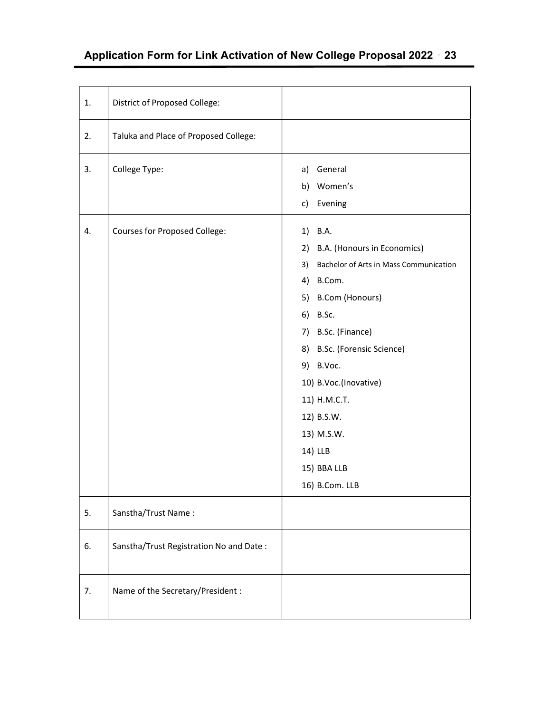# Application Form for Link Activation of New College Proposal 2022‐23

| 1. | District of Proposed College:           |                                                                                                                                                                                                                                                                                                                                |
|----|-----------------------------------------|--------------------------------------------------------------------------------------------------------------------------------------------------------------------------------------------------------------------------------------------------------------------------------------------------------------------------------|
| 2. | Taluka and Place of Proposed College:   |                                                                                                                                                                                                                                                                                                                                |
| 3. | College Type:                           | a) General<br>b) Women's<br>c) Evening                                                                                                                                                                                                                                                                                         |
| 4. | <b>Courses for Proposed College:</b>    | 1) B.A.<br>B.A. (Honours in Economics)<br>2)<br>Bachelor of Arts in Mass Communication<br>3)<br>4) B.Com.<br>5) B.Com (Honours)<br>6) B.Sc.<br>7) B.Sc. (Finance)<br>8) B.Sc. (Forensic Science)<br>9) B.Voc.<br>10) B.Voc.(Inovative)<br>11) H.M.C.T.<br>12) B.S.W.<br>13) M.S.W.<br>14) LLB<br>15) BBA LLB<br>16) B.Com. LLB |
| 5. | Sanstha/Trust Name:                     |                                                                                                                                                                                                                                                                                                                                |
| 6. | Sanstha/Trust Registration No and Date: |                                                                                                                                                                                                                                                                                                                                |
| 7. | Name of the Secretary/President :       |                                                                                                                                                                                                                                                                                                                                |